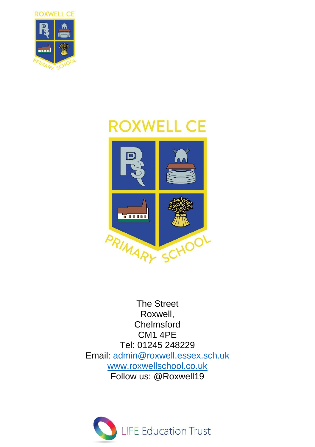

# **ROXWELL CE**



The Street Roxwell, Chelmsford CM1 4PE Tel: 01245 248229 Email: [admin@roxwell.essex.sch.uk](mailto:admin@roxwell.essex.sch.uk) [www.roxwellschool.co.uk](http://www.roxwellschool.co.uk/) Follow us: @Roxwell19

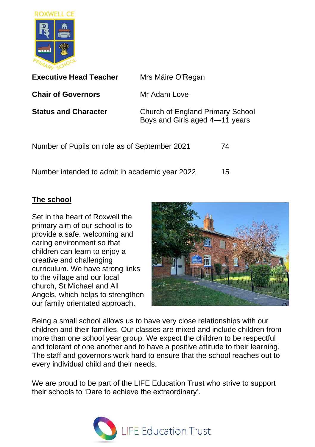

| <b>Executive Head Teacher</b>                  | Mrs Máire O'Regan                                                  |    |
|------------------------------------------------|--------------------------------------------------------------------|----|
| <b>Chair of Governors</b>                      | Mr Adam Love                                                       |    |
| <b>Status and Character</b>                    | Church of England Primary School<br>Boys and Girls aged 4-11 years |    |
| Number of Pupils on role as of September 2021  |                                                                    | 74 |
| Number intended to admit in academic year 2022 |                                                                    | 15 |

#### **The school**

Set in the heart of Roxwell the primary aim of our school is to provide a safe, welcoming and caring environment so that children can learn to enjoy a creative and challenging curriculum. We have strong links to the village and our local church, St Michael and All Angels, which helps to strengthen our family orientated approach.



Being a small school allows us to have very close relationships with our children and their families. Our classes are mixed and include children from more than one school year group. We expect the children to be respectful and tolerant of one another and to have a positive attitude to their learning. The staff and governors work hard to ensure that the school reaches out to every individual child and their needs.

We are proud to be part of the LIFE Education Trust who strive to support their schools to 'Dare to achieve the extraordinary'.

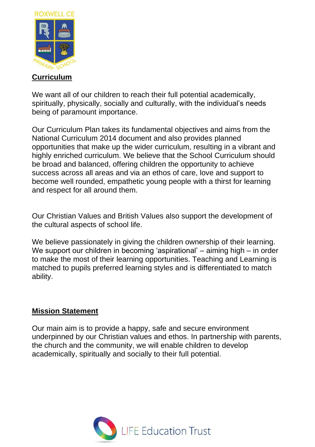

### **Curriculum**

We want all of our children to reach their full potential academically, spiritually, physically, socially and culturally, with the individual's needs being of paramount importance.

Our Curriculum Plan takes its fundamental objectives and aims from the National Curriculum 2014 document and also provides planned opportunities that make up the wider curriculum, resulting in a vibrant and highly enriched curriculum. We believe that the School Curriculum should be broad and balanced, offering children the opportunity to achieve success across all areas and via an ethos of care, love and support to become well rounded, empathetic young people with a thirst for learning and respect for all around them.

Our Christian Values and British Values also support the development of the cultural aspects of school life.

We believe passionately in giving the children ownership of their learning. We support our children in becoming 'aspirational' – aiming high – in order to make the most of their learning opportunities. Teaching and Learning is matched to pupils preferred learning styles and is differentiated to match ability.

#### **Mission Statement**

Our main aim is to provide a happy, safe and secure environment underpinned by our Christian values and ethos. In partnership with parents, the church and the community, we will enable children to develop academically, spiritually and socially to their full potential.

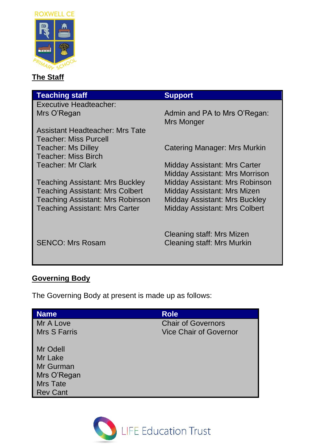

# **The Staff**

| <b>Teaching staff</b>                   | <b>Support</b>                             |
|-----------------------------------------|--------------------------------------------|
| Executive Headteacher:                  |                                            |
| Mrs O'Regan                             | Admin and PA to Mrs O'Regan:<br>Mrs Monger |
| Assistant Headteacher: Mrs Tate         |                                            |
| Teacher: Miss Purcell                   |                                            |
| <b>Teacher: Ms Dilley</b>               | Catering Manager: Mrs Murkin               |
| Teacher: Miss Birch                     |                                            |
| Teacher: Mr Clark                       | Midday Assistant: Mrs Carter               |
|                                         | Midday Assistant: Mrs Morrison             |
| Teaching Assistant: Mrs Buckley         | Midday Assistant: Mrs Robinson             |
| <b>Teaching Assistant: Mrs Colbert</b>  | Midday Assistant: Mrs Mizen                |
| <b>Teaching Assistant: Mrs Robinson</b> | Midday Assistant: Mrs Buckley              |
| <b>Teaching Assistant: Mrs Carter</b>   | <b>Midday Assistant: Mrs Colbert</b>       |
|                                         |                                            |
|                                         |                                            |
|                                         | Cleaning staff: Mrs Mizen                  |
| <b>SENCO: Mrs Rosam</b>                 | <b>Cleaning staff: Mrs Murkin</b>          |

# **Governing Body**

The Governing Body at present is made up as follows:

| <b>Name</b>  | <b>Role</b>                   |
|--------------|-------------------------------|
| Mr A Love    | <b>Chair of Governors</b>     |
| Mrs S Farris | <b>Vice Chair of Governor</b> |
| Mr Odell     |                               |
| Mr Lake      |                               |
| Mr Gurman    |                               |
| Mrs O'Regan  |                               |
| Mrs Tate     |                               |
| Rev Cant     |                               |

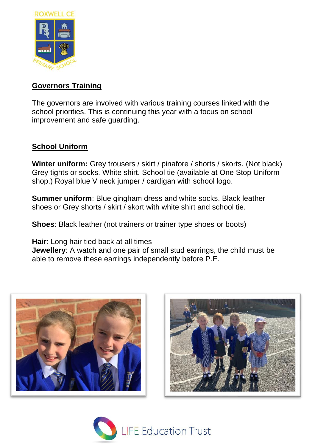

#### **Governors Training**

The governors are involved with various training courses linked with the school priorities. This is continuing this year with a focus on school improvement and safe guarding.

# **School Uniform**

**Winter uniform:** Grey trousers / skirt / pinafore / shorts / skorts. (Not black) Grey tights or socks. White shirt. School tie (available at One Stop Uniform shop.) Royal blue V neck jumper / cardigan with school logo.

**Summer uniform**: Blue gingham dress and white socks. Black leather shoes or Grey shorts / skirt / skort with white shirt and school tie.

**Shoes:** Black leather (not trainers or trainer type shoes or boots)

**Hair**: Long hair tied back at all times

**Jewellery:** A watch and one pair of small stud earrings, the child must be able to remove these earrings independently before P.E.





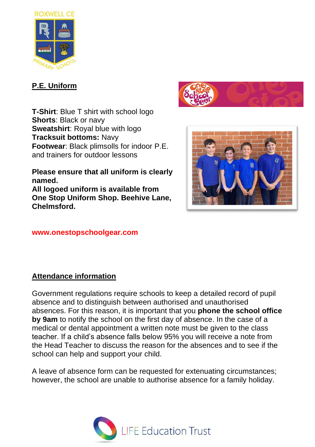

# **P.E. Uniform**

**T-Shirt**: Blue T shirt with school logo **Shorts**: Black or navy **Sweatshirt: Royal blue with logo Tracksuit bottoms:** Navy **Footwear**: Black plimsolls for indoor P.E. and trainers for outdoor lessons

**Please ensure that all uniform is clearly named.** 

**All logoed uniform is available from One Stop Uniform Shop. Beehive Lane, Chelmsford.** 

#### **www.onestopschoolgear.com**

# **Attendance information**

Government regulations require schools to keep a detailed record of pupil absence and to distinguish between authorised and unauthorised absences. For this reason, it is important that you **phone the school office by 9am** to notify the school on the first day of absence. In the case of a medical or dental appointment a written note must be given to the class teacher. If a child's absence falls below 95% you will receive a note from the Head Teacher to discuss the reason for the absences and to see if the school can help and support your child.

A leave of absence form can be requested for extenuating circumstances; however, the school are unable to authorise absence for a family holiday.



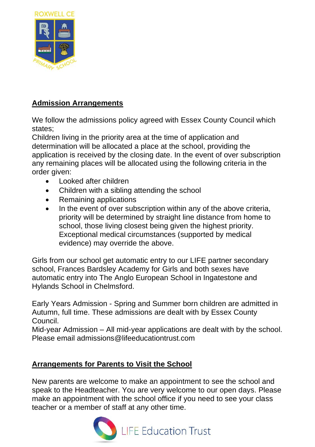

# **Admission Arrangements**

We follow the admissions policy agreed with Essex County Council which states;

Children living in the priority area at the time of application and determination will be allocated a place at the school, providing the application is received by the closing date. In the event of over subscription any remaining places will be allocated using the following criteria in the order given:

- Looked after children
- Children with a sibling attending the school
- Remaining applications
- In the event of over subscription within any of the above criteria, priority will be determined by straight line distance from home to school, those living closest being given the highest priority. Exceptional medical circumstances (supported by medical evidence) may override the above.

Girls from our school get automatic entry to our LIFE partner secondary school, Frances Bardsley Academy for Girls and both sexes have automatic entry into The Anglo European School in Ingatestone and Hylands School in Chelmsford.

Early Years Admission - Spring and Summer born children are admitted in Autumn, full time. These admissions are dealt with by Essex County Council.

Mid-year Admission – All mid-year applications are dealt with by the school. Please email admissions@lifeeducationtrust.com

# **Arrangements for Parents to Visit the School**

New parents are welcome to make an appointment to see the school and speak to the Headteacher. You are very welcome to our open days. Please make an appointment with the school office if you need to see your class teacher or a member of staff at any other time.

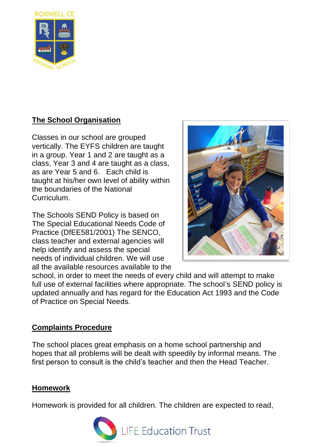

# **The School Organisation**

Classes in our school are grouped vertically. The EYFS children are taught in a group. Year 1 and 2 are taught as a class, Year 3 and 4 are taught as a class, as are Year 5 and 6. Each child is taught at his/her own level of ability within the boundaries of the National **Curriculum** 

The Schools SEND Policy is based on The Special Educational Needs Code of Practice (DfEE581/2001) The SENCO, class teacher and external agencies will help identify and assess the special needs of individual children. We will use all the available resources available to the



school, in order to meet the needs of every child and will attempt to make full use of external facilities where appropriate. The school's SEND policy is updated annually and has regard for the Education Act 1993 and the Code of Practice on Special Needs.

#### **Complaints Procedure**

The school places great emphasis on a home school partnership and hopes that all problems will be dealt with speedily by informal means. The first person to consult is the child's teacher and then the Head Teacher.

#### **Homework**

Homework is provided for all children. The children are expected to read,

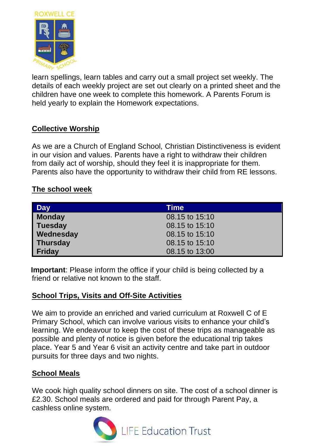

learn spellings, learn tables and carry out a small project set weekly. The details of each weekly project are set out clearly on a printed sheet and the children have one week to complete this homework. A Parents Forum is held yearly to explain the Homework expectations.

# **Collective Worship**

As we are a Church of England School, Christian Distinctiveness is evident in our vision and values. Parents have a right to withdraw their children from daily act of worship, should they feel it is inappropriate for them. Parents also have the opportunity to withdraw their child from RE lessons.

#### **The school week**

| <b>Day</b>    | Time           |
|---------------|----------------|
| <b>Monday</b> | 08.15 to 15:10 |
| Tuesday       | 08.15 to 15:10 |
| Wednesday     | 08.15 to 15:10 |
| Thursday      | 08.15 to 15:10 |
| Friday        | 08.15 to 13:00 |

**Important**: Please inform the office if your child is being collected by a friend or relative not known to the staff.

#### **School Trips, Visits and Off-Site Activities**

We aim to provide an enriched and varied curriculum at Roxwell C of E Primary School, which can involve various visits to enhance your child's learning. We endeavour to keep the cost of these trips as manageable as possible and plenty of notice is given before the educational trip takes place. Year 5 and Year 6 visit an activity centre and take part in outdoor pursuits for three days and two nights.

#### **School Meals**

We cook high quality school dinners on site. The cost of a school dinner is £2.30. School meals are ordered and paid for through Parent Pay, a cashless online system.

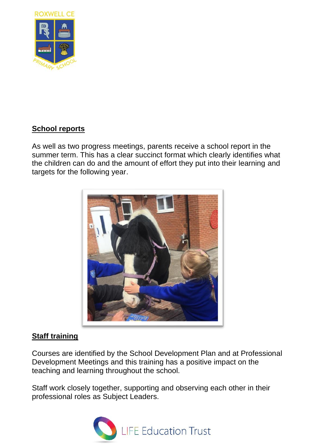

# **School reports**

As well as two progress meetings, parents receive a school report in the summer term. This has a clear succinct format which clearly identifies what the children can do and the amount of effort they put into their learning and targets for the following year.



#### **Staff training**

Courses are identified by the School Development Plan and at Professional Development Meetings and this training has a positive impact on the teaching and learning throughout the school.

Staff work closely together, supporting and observing each other in their professional roles as Subject Leaders.

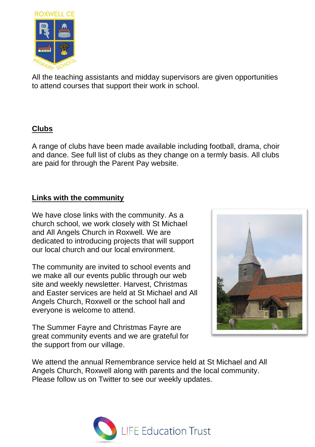

All the teaching assistants and midday supervisors are given opportunities to attend courses that support their work in school.

#### **Clubs**

A range of clubs have been made available including football, drama, choir and dance. See full list of clubs as they change on a termly basis. All clubs are paid for through the Parent Pay website.

#### **Links with the community**

We have close links with the community. As a church school, we work closely with St Michael and All Angels Church in Roxwell. We are dedicated to introducing projects that will support our local church and our local environment.

The community are invited to school events and we make all our events public through our web site and weekly newsletter. Harvest, Christmas and Easter services are held at St Michael and All Angels Church, Roxwell or the school hall and everyone is welcome to attend.

The Summer Fayre and Christmas Fayre are great community events and we are grateful for the support from our village.



We attend the annual Remembrance service held at St Michael and All Angels Church, Roxwell along with parents and the local community. Please follow us on Twitter to see our weekly updates.

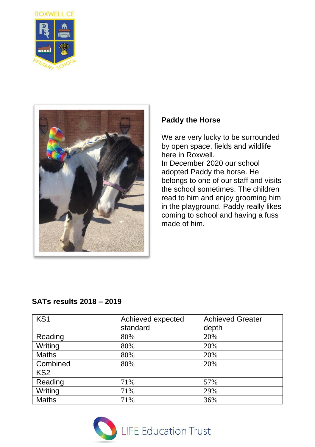



#### **Paddy the Horse**

We are very lucky to be surrounded by open space, fields and wildlife here in Roxwell. In December 2020 our school adopted Paddy the horse. He belongs to one of our staff and visits the school sometimes. The children read to him and enjoy grooming him in the playground. Paddy really likes coming to school and having a fuss made of him.

# **SATs results 2018 – 2019**

| KS1             | Achieved expected | <b>Achieved Greater</b> |
|-----------------|-------------------|-------------------------|
|                 | standard          | depth                   |
| Reading         | 80%               | 20%                     |
| Writing         | 80%               | 20%                     |
| Maths           | 80%               | 20%                     |
| Combined        | 80%               | 20%                     |
| KS <sub>2</sub> |                   |                         |
| Reading         | 71%               | 57%                     |
| Writing         | 71%               | 29%                     |
| Maths           | 71%               | 36%                     |